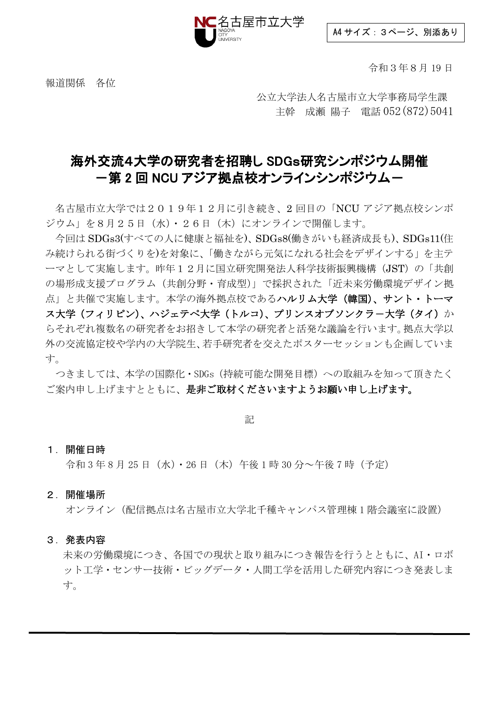

A4 サイズ:3ページ、別添あり

令和3年8月 19 日

報道関係 各位

 公立大学法人名古屋市立大学事務局学生課 主幹 成瀬 陽子 電話 052(872)5041

### 海外交流4大学の研究者を招聘し SDGs研究シンポジウム開催 一第 2 回 NCU アジア拠点校オンラインシンポジウムー

名古屋市立大学では2019年12月に引き続き、2 回目の「NCU アジア拠点校シンポ ジウム」を8月25日(水)・26日(木)にオンラインで開催します。

今回は SDGs3(すべての人に健康と福祉を)、SDGs8(働きがいも経済成長も)、SDGs11(住 み続けられる街づくりを)を対象に、「働きながら元気になれる社会をデザインする」を主テ ーマとして実施します。昨年12月に国立研究開発法人科学技術振興機構(JST)の「共創 の場形成支援プログラム(共創分野·育成型)」で採択された「近未来労働環境デザイン拠 点」と共催で実施します。本学の海外拠点校であるハルリム大学(韓国)、サント・トーマ ス大学(フィリピン)、ハジェテペ大学(トルコ)、プリンスオブソンクラー大学(タイ)か らそれぞれ複数名の研究者をお招きして本学の研究者と活発な議論を行います。拠点大学以 外の交流協定校や学内の大学院生、若手研究者を交えたポスターセッションも企画していま す。

つきましては、本学の国際化・SDGs(持続可能な開発目標)への取組みを知って頂きたく ご案内申し上げますとともに、是非ご取材くださいますようお願い申し上げます。

記

### 1.開催日時

令和 3 年 8 月 25 日(水)・26 日(木)午後 1 時 30 分~午後 7 時(予定)

2.開催場所

オンライン(配信拠点は名古屋市立大学北千種キャンパス管理棟 1 階会議室に設置)

#### 3.発表内容

未来の労働環境につき、各国での現状と取り組みにつき報告を行うとともに、AI・ロボ ット工学・センサー技術・ビッグデータ・人間工学を活用した研究内容につき発表しま す。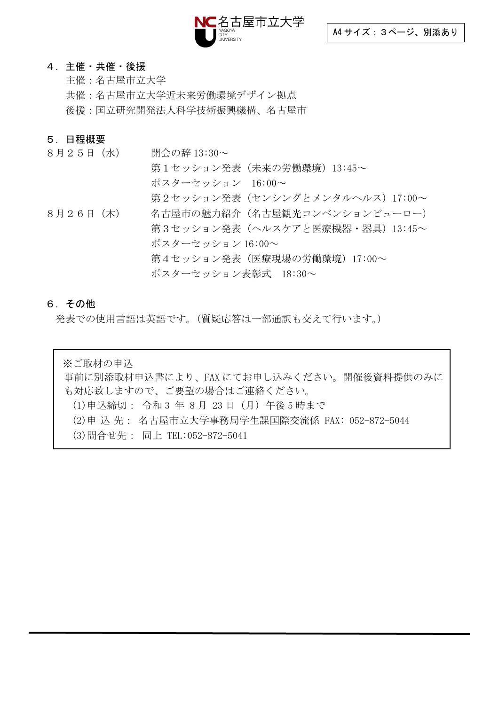

#### 4.主催・共催・後援

主催:名古屋市立大学 共催:名古屋市立大学近未来労働環境デザイン拠点 後援:国立研究開発法人科学技術振興機構、名古屋市

### 5.日程概要

8月25日 (水) 開会の辞 13:30~ 第1セッション発表(未来の労働環境)13:45~ ポスターセッション 16:00~ 第2セッション発表(センシングとメンタルヘルス)17:00~ 8月26日(木) 名古屋市の魅力紹介(名古屋観光コンベンションビューロー) 第3セッション発表(ヘルスケアと医療機器・器具)13:45~ ポスターセッション 16:00~ 第4セッション発表(医療現場の労働環境)17:00~ ポスターセッション表彰式 18:30~

#### 6.その他

発表での使用言語は英語です。(質疑応答は一部通訳も交えて行います。)

※ご取材の申込 事前に別添取材申込書により、FAX にてお申し込みください。開催後資料提供のみに も対応致しますので、ご要望の場合はご連絡ください。 (1)申込締切: 令和 3 年 8 月 23 日(月)午後 5 時まで (2)申 込 先: 名古屋市立大学事務局学生課国際交流係 FAX: 052-872-5044 (3)問合せ先: 同上 TEL:052-872-5041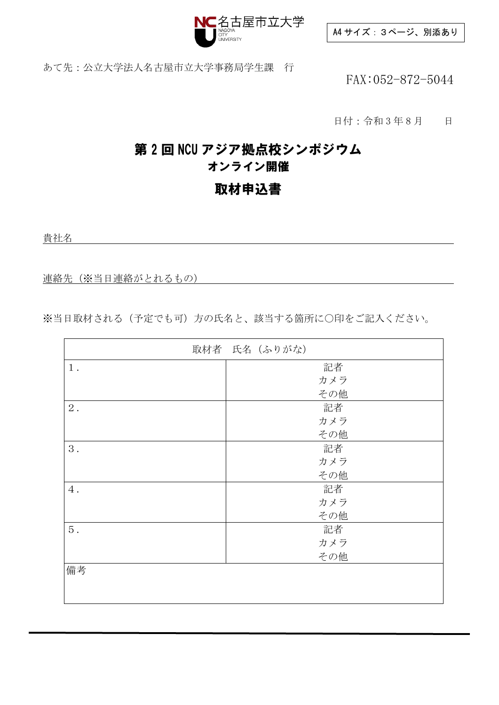

A4 サイズ:3ページ、別添あり

あて先:公立大学法人名古屋市立大学事務局学生課 行

FAX:052-872-5044

日付:令和3年8月 日

### 第 2 回 NCU アジア拠点校シンポジウム オンライン開催

### 取材申込書

貴社名

連絡先(※当日連絡がとれるもの)

※当日取材される(予定でも可)方の氏名と、該当する箇所に○印をご記入ください。

|       | 取材者 氏名 (ふりがな) |
|-------|---------------|
| $1$ . | 記者            |
|       | カメラ           |
|       | その他           |
| $2$ . | 記者            |
|       | カメラ           |
|       | その他           |
| 3.    | 記者            |
|       | カメラ           |
|       | その他           |
| $4$ . | 記者            |
|       | カメラ           |
|       | その他           |
| 5.    | 記者            |
|       | カメラ           |
|       | その他           |
| 備考    |               |
|       |               |
|       |               |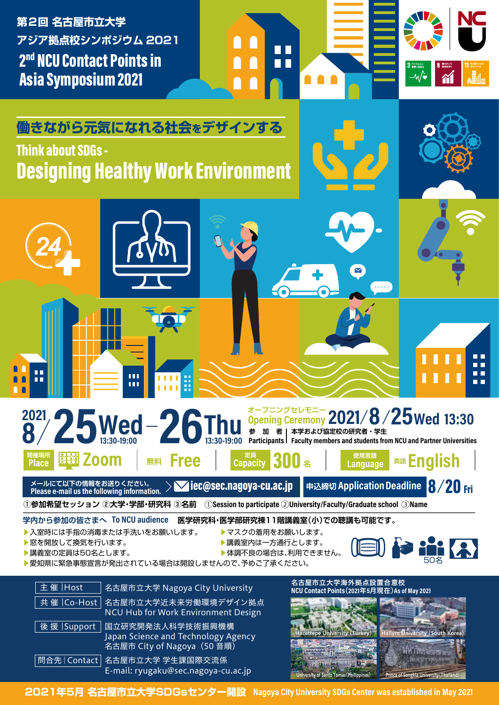2<sup>nd</sup> NCU Contact Points in Asia Symposium 2021 **第2回 名古屋市立大学 アジア拠点校シンポジウム 2021**



# **Designing Healthy Work Environment** Think about SDGs -

**働きながら元気になれる社会をデザインする**



学内から参加の皆さまへ To NCU audience 医学研究科·医学部研究棟11階講義室(小)での聴講も可能です。

 $\blacksquare$ 

m.

1 I I

- ▶入室時には手指の消毒または手洗いをお願いします。 ▶マスクの着用をお願いします。
- ▶窓を開放して換気を行います。 ▶講義室内は一方通行とします。

ŕ

- 
- $\blacktriangleright$ 講義室の定員は50名とします。 アンチング アンチング トキ調不良の場合は、利用できません。



ПĒ n n

m m

▶愛知県に緊急事態宣言が発出されている場合は開設しませんので、予めご了承ください。

| 主催  Host ˈ   | 名古屋市立大学 Nagoya City University                                                                    | 名古屋市立大学海外拠点設置合意校<br>NCU Contact Points (2021年5月現在) As of May 2021 |                                                               |
|--------------|---------------------------------------------------------------------------------------------------|-------------------------------------------------------------------|---------------------------------------------------------------|
|              | 共催   Co-Host   名古屋市立大学近未来労働環境デザイン拠点<br>NCU Hub for Work Environment Design                        |                                                                   |                                                               |
| 後援   Support | _国立 <u>研究</u> 開発法人科学技術振興機構_<br>Japan Science and Technology Agency<br>名古屋市 City of Nagoya (50 音順) |                                                                   | Hacettepe University (Turkey) Hallym University (South Korea) |
|              | 問合先   Contact   名古屋市立大学 学生課国際交流係<br>E-mail: ryugaku@sec.nagoya-cu.ac.jp                           | University of Santo Tomas (Philippines)                           | Prince of Songkla University (Thailand)                       |

**2021年5月 名古屋市立大学SDGsセンター開設**